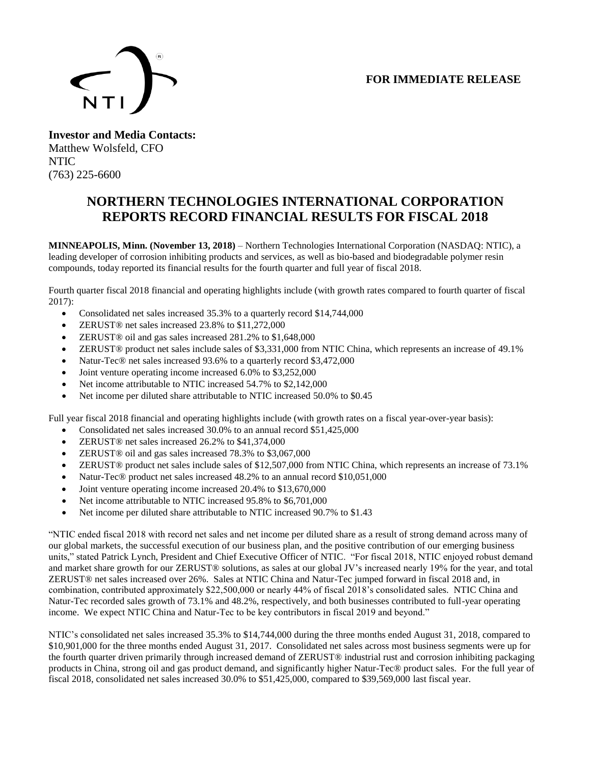## **FOR IMMEDIATE RELEASE**



**Investor and Media Contacts:** Matthew Wolsfeld, CFO NTIC (763) 225-6600

## **NORTHERN TECHNOLOGIES INTERNATIONAL CORPORATION REPORTS RECORD FINANCIAL RESULTS FOR FISCAL 2018**

**MINNEAPOLIS, Minn. (November 13, 2018)** – Northern Technologies International Corporation (NASDAQ: NTIC), a leading developer of corrosion inhibiting products and services, as well as bio-based and biodegradable polymer resin compounds, today reported its financial results for the fourth quarter and full year of fiscal 2018.

Fourth quarter fiscal 2018 financial and operating highlights include (with growth rates compared to fourth quarter of fiscal 2017):

- Consolidated net sales increased 35.3% to a quarterly record \$14,744,000
- ZERUST® net sales increased 23.8% to \$11,272,000
- ZERUST® oil and gas sales increased 281.2% to \$1,648,000
- ZERUST<sup>®</sup> product net sales include sales of \$3,331,000 from NTIC China, which represents an increase of 49.1%
- Natur-Tec® net sales increased 93.6% to a quarterly record \$3,472,000
- Joint venture operating income increased 6.0% to \$3,252,000
- Net income attributable to NTIC increased 54.7% to \$2,142,000
- Net income per diluted share attributable to NTIC increased 50.0% to \$0.45

Full year fiscal 2018 financial and operating highlights include (with growth rates on a fiscal year-over-year basis):

- Consolidated net sales increased 30.0% to an annual record \$51,425,000
- ZERUST<sup>®</sup> net sales increased 26.2% to \$41,374,000
- ZERUST<sup>®</sup> oil and gas sales increased 78.3% to \$3,067,000
- ZERUST<sup>®</sup> product net sales include sales of \$12,507,000 from NTIC China, which represents an increase of 73.1%
- Natur-Tec® product net sales increased 48.2% to an annual record \$10,051,000
- Joint venture operating income increased 20.4% to \$13,670,000
- Net income attributable to NTIC increased 95.8% to \$6,701,000
- Net income per diluted share attributable to NTIC increased 90.7% to \$1.43

"NTIC ended fiscal 2018 with record net sales and net income per diluted share as a result of strong demand across many of our global markets, the successful execution of our business plan, and the positive contribution of our emerging business units," stated Patrick Lynch, President and Chief Executive Officer of NTIC. "For fiscal 2018, NTIC enjoyed robust demand and market share growth for our ZERUST® solutions, as sales at our global JV's increased nearly 19% for the year, and total ZERUST® net sales increased over 26%. Sales at NTIC China and Natur-Tec jumped forward in fiscal 2018 and, in combination, contributed approximately \$22,500,000 or nearly 44% of fiscal 2018's consolidated sales. NTIC China and Natur-Tec recorded sales growth of 73.1% and 48.2%, respectively, and both businesses contributed to full-year operating income. We expect NTIC China and Natur-Tec to be key contributors in fiscal 2019 and beyond."

NTIC's consolidated net sales increased 35.3% to \$14,744,000 during the three months ended August 31, 2018, compared to \$10,901,000 for the three months ended August 31, 2017. Consolidated net sales across most business segments were up for the fourth quarter driven primarily through increased demand of ZERUST® industrial rust and corrosion inhibiting packaging products in China, strong oil and gas product demand, and significantly higher Natur-Tec® product sales. For the full year of fiscal 2018, consolidated net sales increased 30.0% to \$51,425,000, compared to \$39,569,000 last fiscal year.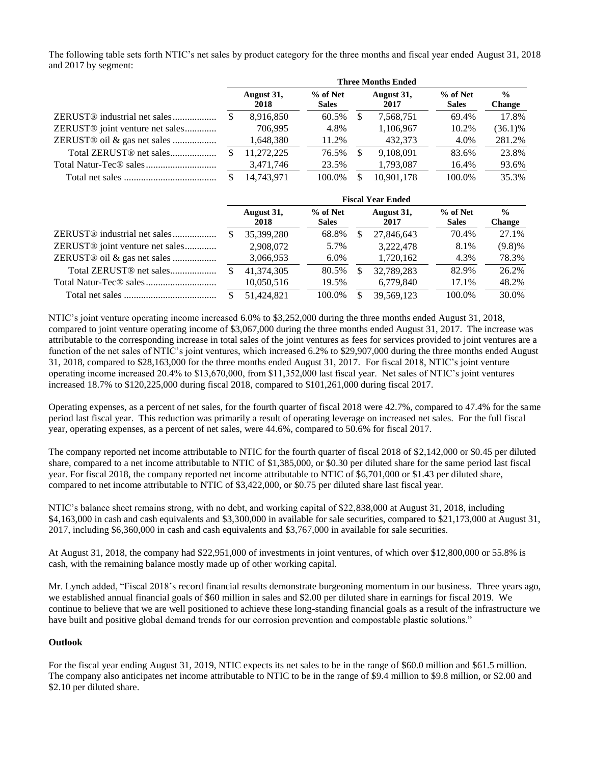The following table sets forth NTIC's net sales by product category for the three months and fiscal year ended August 31, 2018 and 2017 by segment:

|                                             | <b>Three Months Ended</b> |                    |                          |                    |            |                            |                                |
|---------------------------------------------|---------------------------|--------------------|--------------------------|--------------------|------------|----------------------------|--------------------------------|
|                                             |                           | August 31,<br>2018 | % of Net<br><b>Sales</b> | August 31,<br>2017 |            | $%$ of Net<br><b>Sales</b> | $\frac{0}{0}$<br><b>Change</b> |
| ZERUST <sup>®</sup> industrial net sales    |                           | 8,916,850          | 60.5%                    | -S                 | 7,568,751  | 69.4%                      | 17.8%                          |
| ZERUST <sup>®</sup> joint venture net sales |                           | 706.995            | 4.8%                     |                    | 1,106,967  | 10.2%                      | $(36.1)\%$                     |
| ZERUST® oil & gas net sales                 |                           | 1,648,380          | 11.2%                    |                    | 432.373    | 4.0%                       | 281.2%                         |
|                                             |                           | 11.272.225         | 76.5%                    | <b>S</b>           | 9.108.091  | 83.6%                      | 23.8%                          |
|                                             |                           | 3,471,746          | 23.5%                    |                    | 1,793,087  | 16.4%                      | 93.6%                          |
|                                             |                           | 14.743.971         | 100.0%                   | £.                 | 10.901.178 | 100.0%                     | 35.3%                          |

|                                             | <b>Fiscal Year Ended</b> |                    |                          |     |                    |                          |                                |  |
|---------------------------------------------|--------------------------|--------------------|--------------------------|-----|--------------------|--------------------------|--------------------------------|--|
|                                             |                          | August 31,<br>2018 | % of Net<br><b>Sales</b> |     | August 31,<br>2017 | % of Net<br><b>Sales</b> | $\frac{0}{0}$<br><b>Change</b> |  |
| ZERUST <sup>®</sup> industrial net sales    |                          | 35,399,280         | 68.8%                    | S   | 27,846,643         | 70.4%                    | 27.1%                          |  |
| ZERUST <sup>®</sup> joint venture net sales |                          | 2,908,072          | 5.7%                     |     | 3,222,478          | 8.1%                     | $(9.8)\%$                      |  |
| ZERUST <sup>®</sup> oil & gas net sales     |                          | 3,066,953          | $6.0\%$                  |     | 1,720,162          | 4.3%                     | 78.3%                          |  |
|                                             |                          | 41.374.305         | 80.5%                    | \$  | 32,789,283         | 82.9%                    | 26.2%                          |  |
|                                             |                          | 10,050,516         | 19.5%                    |     | 6,779,840          | 17.1%                    | 48.2%                          |  |
|                                             |                          | 51.424.821         | 100.0%                   | \$. | 39,569,123         | 100.0%                   | 30.0%                          |  |

NTIC's joint venture operating income increased 6.0% to \$3,252,000 during the three months ended August 31, 2018, compared to joint venture operating income of \$3,067,000 during the three months ended August 31, 2017. The increase was attributable to the corresponding increase in total sales of the joint ventures as fees for services provided to joint ventures are a function of the net sales of NTIC's joint ventures, which increased 6.2% to \$29,907,000 during the three months ended August 31, 2018, compared to \$28,163,000 for the three months ended August 31, 2017. For fiscal 2018, NTIC's joint venture operating income increased 20.4% to \$13,670,000, from \$11,352,000 last fiscal year. Net sales of NTIC's joint ventures increased 18.7% to \$120,225,000 during fiscal 2018, compared to \$101,261,000 during fiscal 2017.

Operating expenses, as a percent of net sales, for the fourth quarter of fiscal 2018 were 42.7%, compared to 47.4% for the same period last fiscal year. This reduction was primarily a result of operating leverage on increased net sales. For the full fiscal year, operating expenses, as a percent of net sales, were 44.6%, compared to 50.6% for fiscal 2017.

The company reported net income attributable to NTIC for the fourth quarter of fiscal 2018 of \$2,142,000 or \$0.45 per diluted share, compared to a net income attributable to NTIC of \$1,385,000, or \$0.30 per diluted share for the same period last fiscal year. For fiscal 2018, the company reported net income attributable to NTIC of \$6,701,000 or \$1.43 per diluted share, compared to net income attributable to NTIC of \$3,422,000, or \$0.75 per diluted share last fiscal year.

NTIC's balance sheet remains strong, with no debt, and working capital of \$22,838,000 at August 31, 2018, including \$4,163,000 in cash and cash equivalents and \$3,300,000 in available for sale securities, compared to \$21,173,000 at August 31, 2017, including \$6,360,000 in cash and cash equivalents and \$3,767,000 in available for sale securities.

At August 31, 2018, the company had \$22,951,000 of investments in joint ventures, of which over \$12,800,000 or 55.8% is cash, with the remaining balance mostly made up of other working capital.

Mr. Lynch added, "Fiscal 2018's record financial results demonstrate burgeoning momentum in our business. Three years ago, we established annual financial goals of \$60 million in sales and \$2.00 per diluted share in earnings for fiscal 2019. We continue to believe that we are well positioned to achieve these long-standing financial goals as a result of the infrastructure we have built and positive global demand trends for our corrosion prevention and compostable plastic solutions."

#### **Outlook**

For the fiscal year ending August 31, 2019, NTIC expects its net sales to be in the range of \$60.0 million and \$61.5 million. The company also anticipates net income attributable to NTIC to be in the range of \$9.4 million to \$9.8 million, or \$2.00 and \$2.10 per diluted share.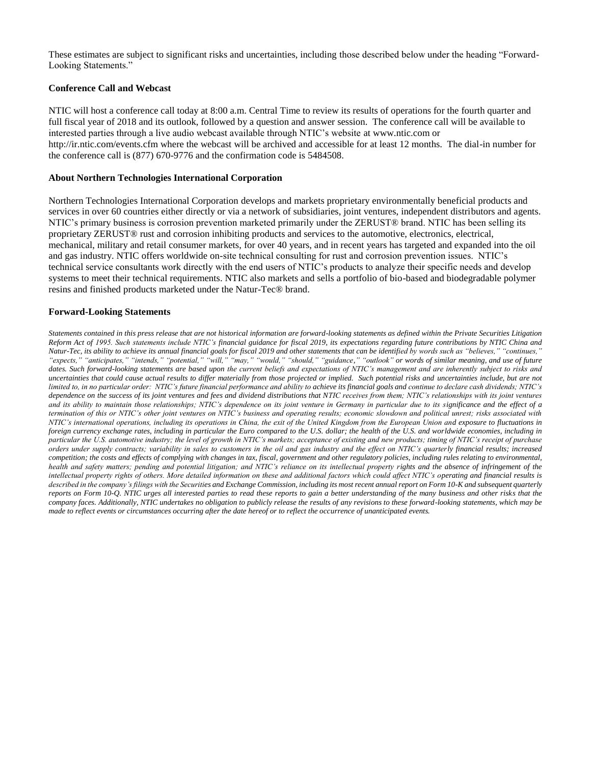These estimates are subject to significant risks and uncertainties, including those described below under the heading "Forward-Looking Statements."

#### **Conference Call and Webcast**

NTIC will host a conference call today at 8:00 a.m. Central Time to review its results of operations for the fourth quarter and full fiscal year of 2018 and its outlook, followed by a question and answer session. The conference call will be available to interested parties through a live audio webcast available through NTIC's website at www.ntic.com or http://ir.ntic.com/events.cfm where the webcast will be archived and accessible for at least 12 months. The dial-in number for the conference call is (877) 670-9776 and the confirmation code is 5484508.

#### **About Northern Technologies International Corporation**

Northern Technologies International Corporation develops and markets proprietary environmentally beneficial products and services in over 60 countries either directly or via a network of subsidiaries, joint ventures, independent distributors and agents. NTIC's primary business is corrosion prevention marketed primarily under the ZERUST® brand. NTIC has been selling its proprietary ZERUST® rust and corrosion inhibiting products and services to the automotive, electronics, electrical, mechanical, military and retail consumer markets, for over 40 years, and in recent years has targeted and expanded into the oil and gas industry. NTIC offers worldwide on-site technical consulting for rust and corrosion prevention issues. NTIC's technical service consultants work directly with the end users of NTIC's products to analyze their specific needs and develop systems to meet their technical requirements. NTIC also markets and sells a portfolio of bio-based and biodegradable polymer resins and finished products marketed under the Natur-Tec® brand.

#### **Forward-Looking Statements**

*Statements contained in this press release that are not historical information are forward-looking statements as defined within the Private Securities Litigation Reform Act of 1995. Such statements include NTIC's financial guidance for fiscal 2019, its expectations regarding future contributions by NTIC China and Natur-Tec, its ability to achieve its annual financial goals for fiscal 2019 and other statements that can be identified by words such as "believes," "continues," "expects," "anticipates," "intends," "potential," "will," "may," "would," "should," "guidance," "outlook" or words of similar meaning, and use of future*  dates. Such forward-looking statements are based upon the current beliefs and expectations of NTIC's management and are inherently subject to risks and *uncertainties that could cause actual results to differ materially from those projected or implied. Such potential risks and uncertainties include, but are not*  limited to, in no particular order: NTIC's future financial performance and ability to achieve its financial goals and continue to declare cash dividends; NTIC's *dependence on the success of its joint ventures and fees and dividend distributions that NTIC receives from them; NTIC's relationships with its joint ventures and its ability to maintain those relationships; NTIC's dependence on its joint venture in Germany in particular due to its significance and the effect of a termination of this or NTIC's other joint ventures on NTIC's business and operating results; economic slowdown and political unrest; risks associated with NTIC's international operations, including its operations in China, the exit of the United Kingdom from the European Union and exposure to fluctuations in foreign currency exchange rates, including in particular the Euro compared to the U.S. dollar; the health of the U.S. and worldwide economies, including in particular the U.S. automotive industry; the level of growth in NTIC's markets; acceptance of existing and new products; timing of NTIC's receipt of purchase orders under supply contracts; variability in sales to customers in the oil and gas industry and the effect on NTIC's quarterly financial results; increased competition; the costs and effects of complying with changes in tax, fiscal, government and other regulatory policies, including rules relating to environmental, health and safety matters; pending and potential litigation; and NTIC's reliance on its intellectual property rights and the absence of infringement of the intellectual property rights of others. More detailed information on these and additional factors which could affect NTIC's operating and financial results is described in the company's filings with the Securities and Exchange Commission, including its most recent annual report on Form 10-K and subsequent quarterly reports on Form 10-Q. NTIC urges all interested parties to read these reports to gain a better understanding of the many business and other risks that the company faces. Additionally, NTIC undertakes no obligation to publicly release the results of any revisions to these forward-looking statements, which may be made to reflect events or circumstances occurring after the date hereof or to reflect the occurrence of unanticipated events.*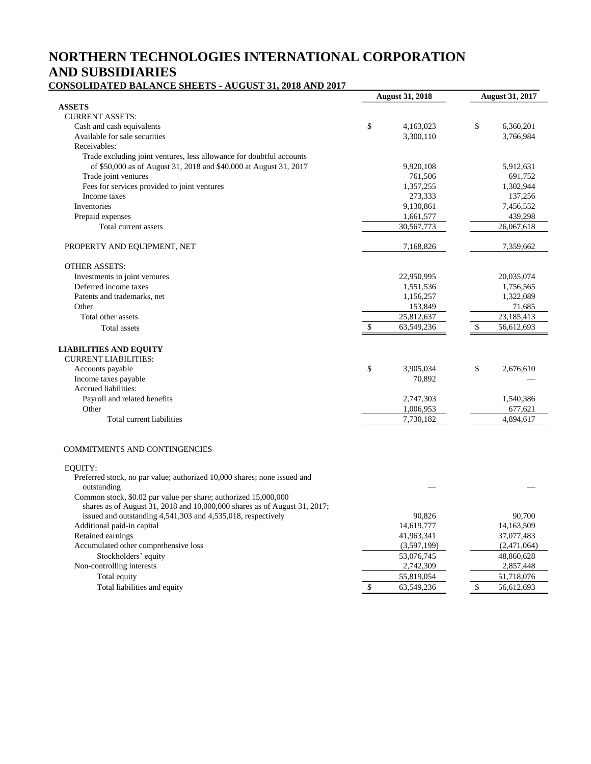# **NORTHERN TECHNOLOGIES INTERNATIONAL CORPORATION AND SUBSIDIARIES**

**CONSOLIDATED BALANCE SHEETS - AUGUST 31, 2018 AND 2017** 

| отоошилтер имлетеринен                                                                  | <b>August 31, 2018</b> |    | <b>August 31, 2017</b> |
|-----------------------------------------------------------------------------------------|------------------------|----|------------------------|
| <b>ASSETS</b>                                                                           |                        |    |                        |
| <b>CURRENT ASSETS:</b>                                                                  |                        |    |                        |
| Cash and cash equivalents                                                               | \$<br>4,163,023        | \$ | 6,360,201              |
| Available for sale securities                                                           | 3,300,110              |    | 3,766,984              |
| Receivables:                                                                            |                        |    |                        |
| Trade excluding joint ventures, less allowance for doubtful accounts                    |                        |    |                        |
| of \$50,000 as of August 31, 2018 and \$40,000 at August 31, 2017                       | 9,920,108              |    | 5,912,631              |
| Trade joint ventures                                                                    | 761,506                |    | 691,752                |
| Fees for services provided to joint ventures                                            | 1,357,255              |    | 1,302,944              |
| Income taxes                                                                            | 273,333                |    | 137,256                |
| Inventories                                                                             | 9,130,861              |    | 7,456,552              |
| Prepaid expenses                                                                        | 1,661,577              |    | 439,298                |
| Total current assets                                                                    | 30,567,773             |    | 26,067,618             |
| PROPERTY AND EQUIPMENT, NET                                                             | 7,168,826              |    | 7,359,662              |
| <b>OTHER ASSETS:</b>                                                                    |                        |    |                        |
| Investments in joint ventures                                                           | 22,950,995             |    | 20,035,074             |
| Deferred income taxes                                                                   | 1,551,536              |    | 1,756,565              |
| Patents and trademarks, net                                                             | 1,156,257              |    | 1,322,089              |
| Other                                                                                   | 153,849                |    | 71,685                 |
| Total other assets                                                                      | 25,812,637             |    | 23,185,413             |
| Total assets                                                                            | \$<br>63,549,236       | \$ | 56,612,693             |
|                                                                                         |                        |    |                        |
| <b>LIABILITIES AND EQUITY</b><br><b>CURRENT LIABILITIES:</b>                            |                        |    |                        |
| Accounts payable                                                                        | \$<br>3,905,034        | \$ | 2,676,610              |
| Income taxes payable                                                                    | 70,892                 |    |                        |
| Accrued liabilities:                                                                    |                        |    |                        |
| Payroll and related benefits                                                            | 2,747,303              |    | 1,540,386              |
| Other                                                                                   | 1,006,953              |    | 677,621                |
| Total current liabilities                                                               | 7,730,182              |    | 4,894,617              |
|                                                                                         |                        |    |                        |
| <b>COMMITMENTS AND CONTINGENCIES</b>                                                    |                        |    |                        |
| EQUITY:                                                                                 |                        |    |                        |
| Preferred stock, no par value; authorized 10,000 shares; none issued and<br>outstanding |                        |    |                        |
| Common stock, \$0.02 par value per share; authorized 15,000,000                         |                        |    |                        |
| shares as of August 31, 2018 and 10,000,000 shares as of August 31, 2017;               |                        |    |                        |
| issued and outstanding 4,541,303 and 4,535,018, respectively                            | 90,826                 |    | 90,700                 |
| Additional paid-in capital                                                              | 14,619,777             |    | 14,163,509             |
| Retained earnings                                                                       | 41,963,341             |    | 37,077,483             |
| Accumulated other comprehensive loss                                                    | (3,597,199)            |    | (2,471,064)            |
| Stockholders' equity                                                                    | 53,076,745             |    | 48,860,628             |
| Non-controlling interests                                                               | 2,742,309              |    | 2,857,448              |
| Total equity                                                                            | 55,819,054             |    | 51,718,076             |
| Total liabilities and equity                                                            | \$<br>63,549,236       | \$ | 56,612,693             |